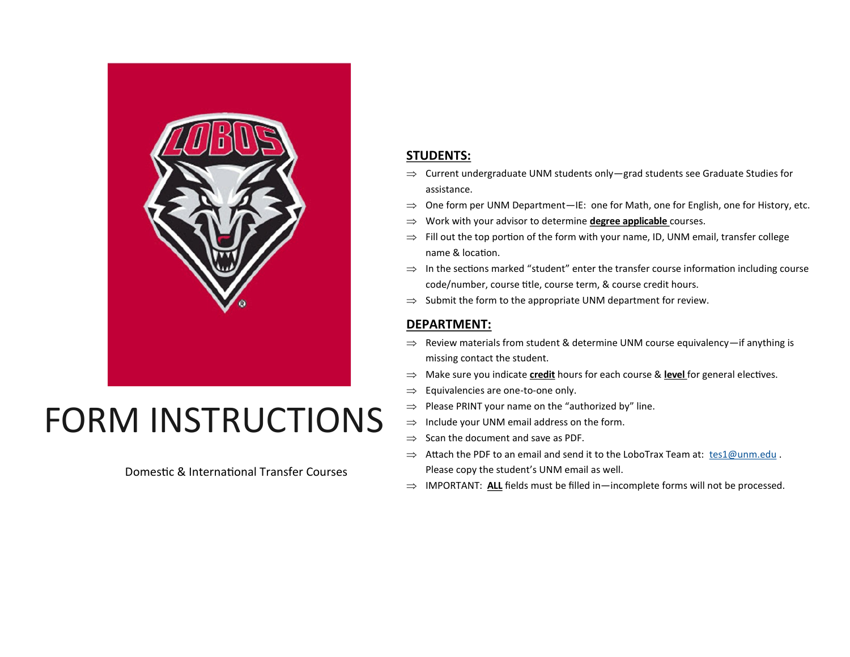

# FORM INSTRUCTIONS

Domestic & International Transfer Courses

## **STUDENTS:**

- $\Rightarrow$  Current undergraduate UNM students only—grad students see Graduate Studies for assistance.
- $\Rightarrow$  One form per UNM Department—IE: one for Math, one for English, one for History, etc.
- Work with your advisor to determine **degree applicable** courses.
- $\Rightarrow$  Fill out the top portion of the form with your name, ID, UNM email, transfer college name & location.
- $\Rightarrow$  In the sections marked "student" enter the transfer course information including course code/number, course title, course term, & course credit hours.
- $\Rightarrow$  Submit the form to the appropriate UNM department for review.

#### **DEPARTMENT:**

- $\Rightarrow$  Review materials from student & determine UNM course equivalency—if anything is missing contact the student.
- $\Rightarrow$  Make sure you indicate **credit** hours for each course & **level** for general electives.
- $\Rightarrow$  Equivalencies are one-to-one only.
- $\Rightarrow$  Please PRINT your name on the "authorized by" line.
- $\Rightarrow$  Include your UNM email address on the form.
- $\Rightarrow$  Scan the document and save as PDF.
- $\Rightarrow$  Attach the PDF to an email and send it to the LoboTrax Team at: [tes1@unm.edu](mailto:tes1@unm.edu). Please copy the student's UNM email as well.
- $\Rightarrow$  IMPORTANT: ALL fields must be filled in—incomplete forms will not be processed.